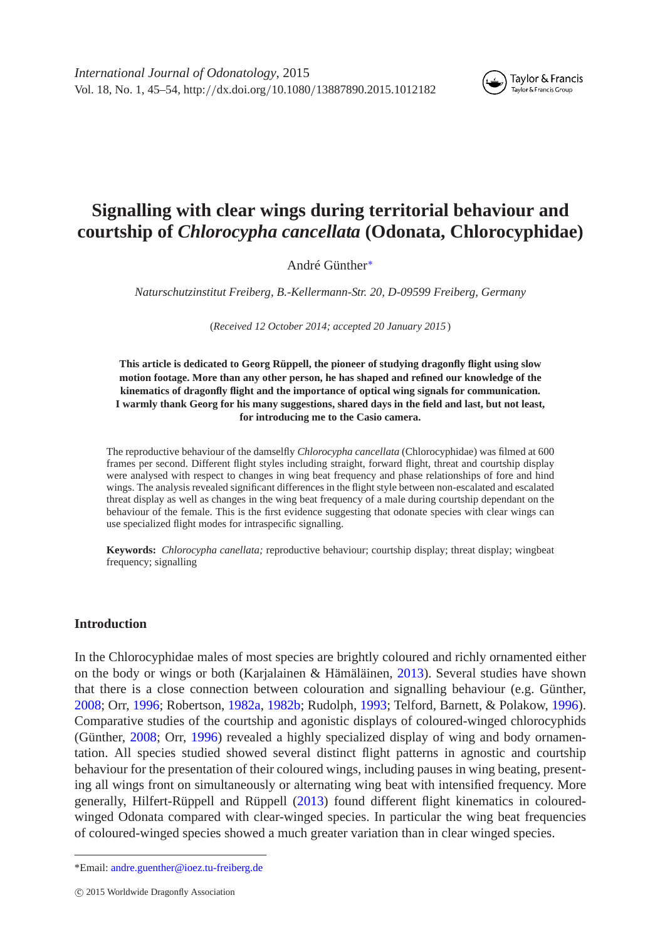*International Journal of Odonatology*, 2015 Vol. 18, No. 1, 45–54, http:*//*dx.doi.org*/*10.1080*/*13887890.2015.1012182



# **Signalling with clear wings during territorial behaviour and courtship of** *Chlorocypha cancellata* **(Odonata, Chlorocyphidae)**

André Günther[∗](#page-0-0)

*Naturschutzinstitut Freiberg, B.-Kellermann-Str. 20, D-09599 Freiberg, Germany*

(*Received 12 October 2014; accepted 20 January 2015* )

**This article is dedicated to Georg Rüppell, the pioneer of studying dragonfly flight using slow motion footage. More than any other person, he has shaped and refined our knowledge of the kinematics of dragonfly flight and the importance of optical wing signals for communication. I warmly thank Georg for his many suggestions, shared days in the field and last, but not least, for introducing me to the Casio camera.**

The reproductive behaviour of the damselfly *Chlorocypha cancellata* (Chlorocyphidae) was filmed at 600 frames per second. Different flight styles including straight, forward flight, threat and courtship display were analysed with respect to changes in wing beat frequency and phase relationships of fore and hind wings. The analysis revealed significant differences in the flight style between non-escalated and escalated threat display as well as changes in the wing beat frequency of a male during courtship dependant on the behaviour of the female. This is the first evidence suggesting that odonate species with clear wings can use specialized flight modes for intraspecific signalling.

**Keywords:** *Chlorocypha canellata;* reproductive behaviour; courtship display; threat display; wingbeat frequency; signalling

#### **Introduction**

In the Chlorocyphidae males of most species are brightly coloured and richly ornamented either on the body or wings or both (Karjalainen & Hämäläinen, [2013\)](#page-9-0). Several studies have shown that there is a close connection between colouration and signalling behaviour (e.g. Günther, [2008;](#page-9-1) Orr, [1996;](#page-9-2) Robertson, [1982a,](#page-9-3) [1982b;](#page-9-4) Rudolph, [1993;](#page-9-5) Telford, Barnett, & Polakow, [1996\)](#page-9-6). Comparative studies of the courtship and agonistic displays of coloured-winged chlorocyphids (Günther, [2008;](#page-9-1) Orr, [1996\)](#page-9-2) revealed a highly specialized display of wing and body ornamentation. All species studied showed several distinct flight patterns in agnostic and courtship behaviour for the presentation of their coloured wings, including pauses in wing beating, presenting all wings front on simultaneously or alternating wing beat with intensified frequency. More generally, Hilfert-Rüppell and Rüppell [\(2013\)](#page-9-7) found different flight kinematics in colouredwinged Odonata compared with clear-winged species. In particular the wing beat frequencies of coloured-winged species showed a much greater variation than in clear winged species.

<span id="page-0-0"></span><sup>\*</sup>Email: [andre.guenther@ioez.tu-freiberg.de](mailto:andre.guenther@ioez.tu-freiberg.de)

c 2015 Worldwide Dragonfly Association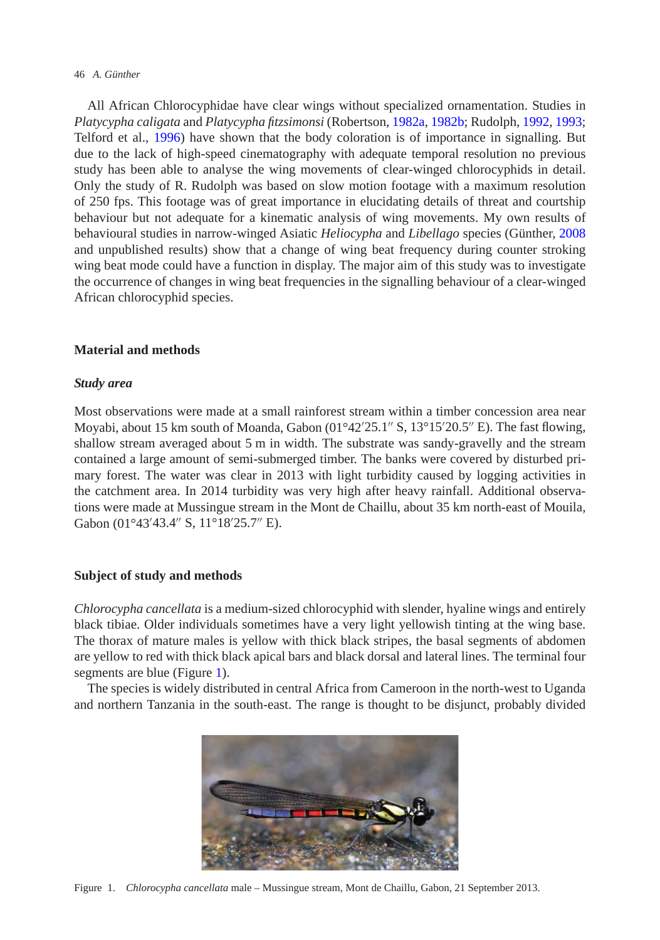#### 46 *A. Günther*

All African Chlorocyphidae have clear wings without specialized ornamentation. Studies in *Platycypha caligata* and *Platycypha fitzsimonsi* (Robertson, [1982a,](#page-9-3) [1982b;](#page-9-4) Rudolph, [1992,](#page-9-8) [1993;](#page-9-5) Telford et al., [1996\)](#page-9-6) have shown that the body coloration is of importance in signalling. But due to the lack of high-speed cinematography with adequate temporal resolution no previous study has been able to analyse the wing movements of clear-winged chlorocyphids in detail. Only the study of R. Rudolph was based on slow motion footage with a maximum resolution of 250 fps. This footage was of great importance in elucidating details of threat and courtship behaviour but not adequate for a kinematic analysis of wing movements. My own results of behavioural studies in narrow-winged Asiatic *Heliocypha* and *Libellago* species (Günther, [2008](#page-9-1) and unpublished results) show that a change of wing beat frequency during counter stroking wing beat mode could have a function in display. The major aim of this study was to investigate the occurrence of changes in wing beat frequencies in the signalling behaviour of a clear-winged African chlorocyphid species.

# **Material and methods**

# *Study area*

Most observations were made at a small rainforest stream within a timber concession area near Moyabi, about 15 km south of Moanda, Gabon  $(01^{\circ}42'25.1'' S, 13^{\circ}15'20.5'' E)$ . The fast flowing, shallow stream averaged about 5 m in width. The substrate was sandy-gravelly and the stream contained a large amount of semi-submerged timber. The banks were covered by disturbed primary forest. The water was clear in 2013 with light turbidity caused by logging activities in the catchment area. In 2014 turbidity was very high after heavy rainfall. Additional observations were made at Mussingue stream in the Mont de Chaillu, about 35 km north-east of Mouila, Gabon (01°43'43.4" S, 11°18'25.7" E).

## **Subject of study and methods**

*Chlorocypha cancellata* is a medium-sized chlorocyphid with slender, hyaline wings and entirely black tibiae. Older individuals sometimes have a very light yellowish tinting at the wing base. The thorax of mature males is yellow with thick black stripes, the basal segments of abdomen are yellow to red with thick black apical bars and black dorsal and lateral lines. The terminal four segments are blue (Figure [1\)](#page-1-0).

The species is widely distributed in central Africa from Cameroon in the north-west to Uganda and northern Tanzania in the south-east. The range is thought to be disjunct, probably divided

<span id="page-1-0"></span>

Figure 1. *Chlorocypha cancellata* male – Mussingue stream, Mont de Chaillu, Gabon, 21 September 2013.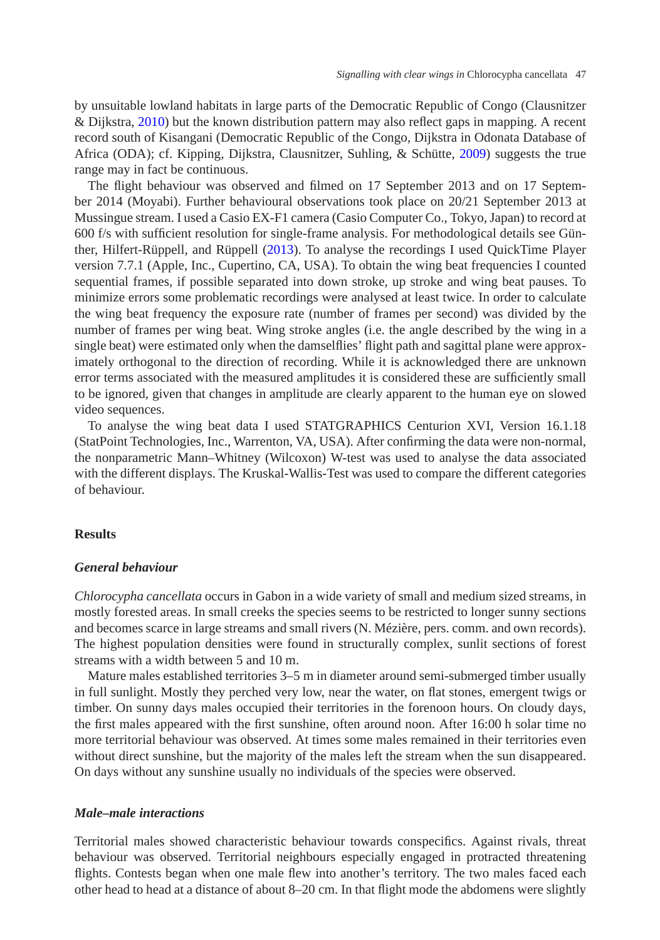by unsuitable lowland habitats in large parts of the Democratic Republic of Congo (Clausnitzer & Dijkstra, [2010\)](#page-9-9) but the known distribution pattern may also reflect gaps in mapping. A recent record south of Kisangani (Democratic Republic of the Congo, Dijkstra in Odonata Database of Africa (ODA); cf. Kipping, Dijkstra, Clausnitzer, Suhling, & Schütte, [2009\)](#page-9-10) suggests the true range may in fact be continuous.

The flight behaviour was observed and filmed on 17 September 2013 and on 17 September 2014 (Moyabi). Further behavioural observations took place on 20/21 September 2013 at Mussingue stream. I used a Casio EX-F1 camera (Casio Computer Co., Tokyo, Japan) to record at 600 f/s with sufficient resolution for single-frame analysis. For methodological details see Günther, Hilfert-Rüppell, and Rüppell [\(2013\)](#page-9-11). To analyse the recordings I used QuickTime Player version 7.7.1 (Apple, Inc., Cupertino, CA, USA). To obtain the wing beat frequencies I counted sequential frames, if possible separated into down stroke, up stroke and wing beat pauses. To minimize errors some problematic recordings were analysed at least twice. In order to calculate the wing beat frequency the exposure rate (number of frames per second) was divided by the number of frames per wing beat. Wing stroke angles (i.e. the angle described by the wing in a single beat) were estimated only when the damselflies' flight path and sagittal plane were approximately orthogonal to the direction of recording. While it is acknowledged there are unknown error terms associated with the measured amplitudes it is considered these are sufficiently small to be ignored, given that changes in amplitude are clearly apparent to the human eye on slowed video sequences.

To analyse the wing beat data I used STATGRAPHICS Centurion XVI, Version 16.1.18 (StatPoint Technologies, Inc., Warrenton, VA, USA). After confirming the data were non-normal, the nonparametric Mann–Whitney (Wilcoxon) W-test was used to analyse the data associated with the different displays. The Kruskal-Wallis-Test was used to compare the different categories of behaviour.

## **Results**

## *General behaviour*

*Chlorocypha cancellata* occurs in Gabon in a wide variety of small and medium sized streams, in mostly forested areas. In small creeks the species seems to be restricted to longer sunny sections and becomes scarce in large streams and small rivers (N. Mézière, pers. comm. and own records). The highest population densities were found in structurally complex, sunlit sections of forest streams with a width between 5 and 10 m.

Mature males established territories 3–5 m in diameter around semi-submerged timber usually in full sunlight. Mostly they perched very low, near the water, on flat stones, emergent twigs or timber. On sunny days males occupied their territories in the forenoon hours. On cloudy days, the first males appeared with the first sunshine, often around noon. After 16:00 h solar time no more territorial behaviour was observed. At times some males remained in their territories even without direct sunshine, but the majority of the males left the stream when the sun disappeared. On days without any sunshine usually no individuals of the species were observed.

## *Male–male interactions*

Territorial males showed characteristic behaviour towards conspecifics. Against rivals, threat behaviour was observed. Territorial neighbours especially engaged in protracted threatening flights. Contests began when one male flew into another's territory. The two males faced each other head to head at a distance of about 8–20 cm. In that flight mode the abdomens were slightly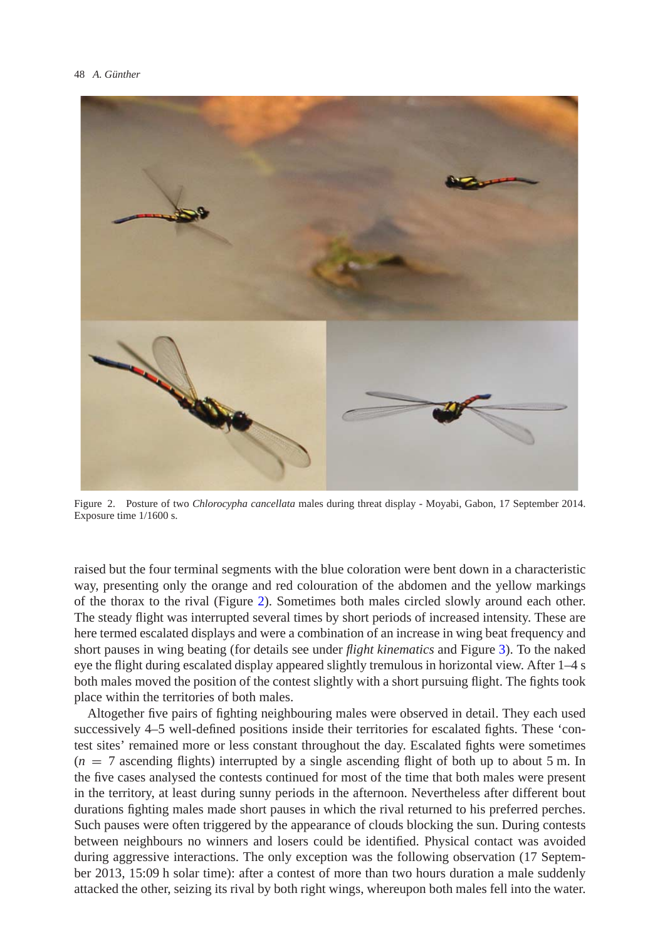

Figure 2. Posture of two *Chlorocypha cancellata* males during threat display - Moyabi, Gabon, 17 September 2014. Exposure time 1/1600 s.

<span id="page-3-0"></span>raised but the four terminal segments with the blue coloration were bent down in a characteristic way, presenting only the orange and red colouration of the abdomen and the yellow markings of the thorax to the rival (Figure [2\)](#page-3-0). Sometimes both males circled slowly around each other. The steady flight was interrupted several times by short periods of increased intensity. These are here termed escalated displays and were a combination of an increase in wing beat frequency and short pauses in wing beating (for details see under *flight kinematics* and Figure [3\)](#page-4-0). To the naked eye the flight during escalated display appeared slightly tremulous in horizontal view. After 1–4 s both males moved the position of the contest slightly with a short pursuing flight. The fights took place within the territories of both males.

Altogether five pairs of fighting neighbouring males were observed in detail. They each used successively 4–5 well-defined positions inside their territories for escalated fights. These 'contest sites' remained more or less constant throughout the day. Escalated fights were sometimes  $(n = 7$  ascending flights) interrupted by a single ascending flight of both up to about 5 m. In the five cases analysed the contests continued for most of the time that both males were present in the territory, at least during sunny periods in the afternoon. Nevertheless after different bout durations fighting males made short pauses in which the rival returned to his preferred perches. Such pauses were often triggered by the appearance of clouds blocking the sun. During contests between neighbours no winners and losers could be identified. Physical contact was avoided during aggressive interactions. The only exception was the following observation (17 September 2013, 15:09 h solar time): after a contest of more than two hours duration a male suddenly attacked the other, seizing its rival by both right wings, whereupon both males fell into the water.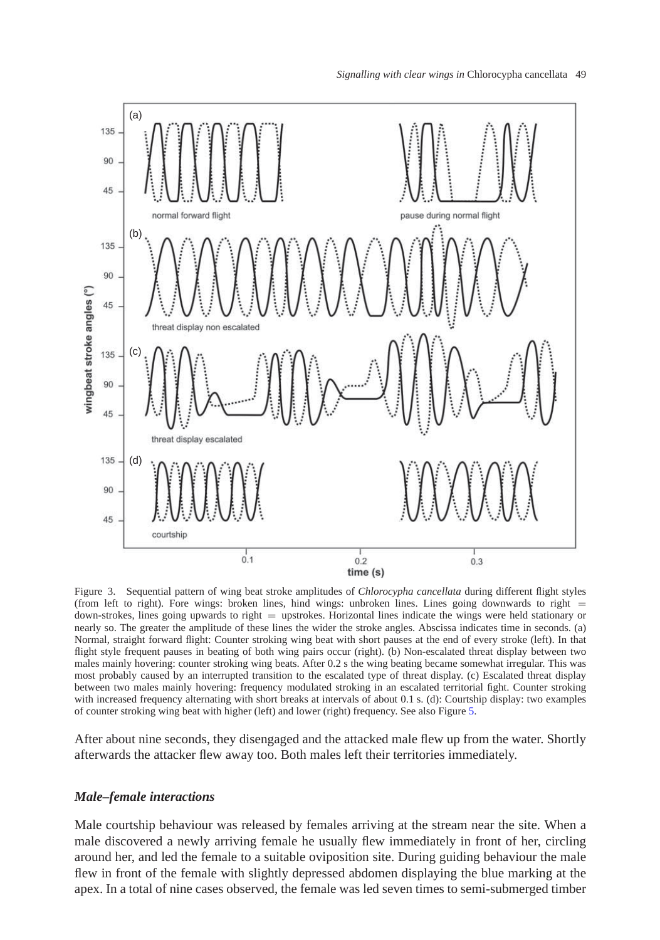

<span id="page-4-0"></span>Figure 3. Sequential pattern of wing beat stroke amplitudes of *Chlorocypha cancellata* during different flight styles (from left to right). Fore wings: broken lines, hind wings: unbroken lines. Lines going downwards to right =  $down-structures$ , lines going upwards to right  $=$  upstrokes. Horizontal lines indicate the wings were held stationary or nearly so. The greater the amplitude of these lines the wider the stroke angles. Abscissa indicates time in seconds. (a) Normal, straight forward flight: Counter stroking wing beat with short pauses at the end of every stroke (left). In that flight style frequent pauses in beating of both wing pairs occur (right). (b) Non-escalated threat display between two males mainly hovering: counter stroking wing beats. After 0.2 s the wing beating became somewhat irregular. This was most probably caused by an interrupted transition to the escalated type of threat display. (c) Escalated threat display between two males mainly hovering: frequency modulated stroking in an escalated territorial fight. Counter stroking with increased frequency alternating with short breaks at intervals of about 0.1 s. (d): Courtship display: two examples of counter stroking wing beat with higher (left) and lower (right) frequency. See also Figure [5.](#page-7-0)

After about nine seconds, they disengaged and the attacked male flew up from the water. Shortly afterwards the attacker flew away too. Both males left their territories immediately.

## *Male–female interactions*

Male courtship behaviour was released by females arriving at the stream near the site. When a male discovered a newly arriving female he usually flew immediately in front of her, circling around her, and led the female to a suitable oviposition site. During guiding behaviour the male flew in front of the female with slightly depressed abdomen displaying the blue marking at the apex. In a total of nine cases observed, the female was led seven times to semi-submerged timber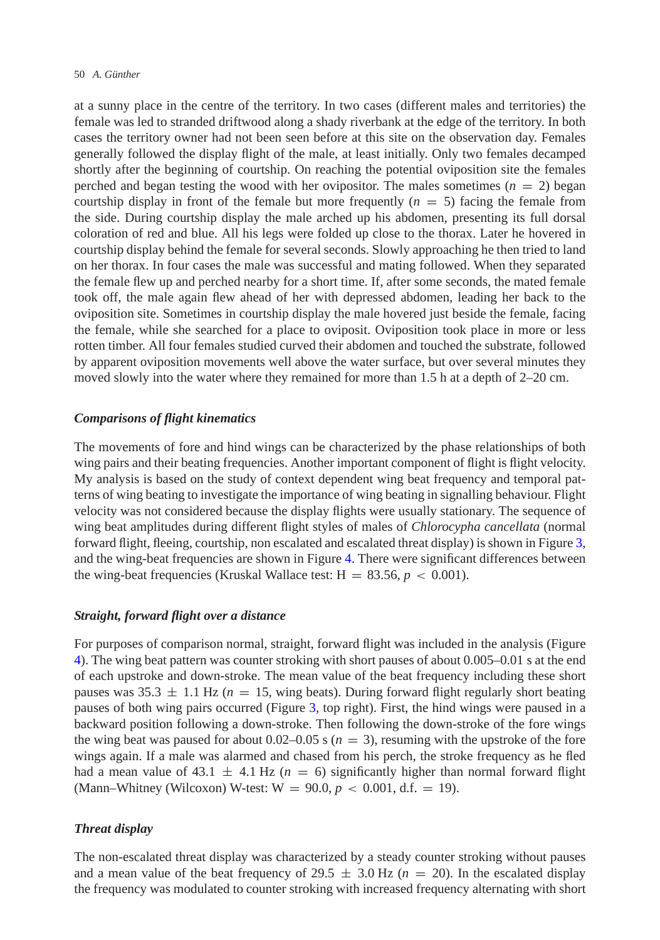at a sunny place in the centre of the territory. In two cases (different males and territories) the female was led to stranded driftwood along a shady riverbank at the edge of the territory. In both cases the territory owner had not been seen before at this site on the observation day. Females generally followed the display flight of the male, at least initially. Only two females decamped shortly after the beginning of courtship. On reaching the potential oviposition site the females perched and began testing the wood with her ovipositor. The males sometimes  $(n = 2)$  began courtship display in front of the female but more frequently  $(n = 5)$  facing the female from the side. During courtship display the male arched up his abdomen, presenting its full dorsal coloration of red and blue. All his legs were folded up close to the thorax. Later he hovered in courtship display behind the female for several seconds. Slowly approaching he then tried to land on her thorax. In four cases the male was successful and mating followed. When they separated the female flew up and perched nearby for a short time. If, after some seconds, the mated female took off, the male again flew ahead of her with depressed abdomen, leading her back to the oviposition site. Sometimes in courtship display the male hovered just beside the female, facing the female, while she searched for a place to oviposit. Oviposition took place in more or less rotten timber. All four females studied curved their abdomen and touched the substrate, followed by apparent oviposition movements well above the water surface, but over several minutes they moved slowly into the water where they remained for more than 1.5 h at a depth of 2–20 cm.

## *Comparisons of flight kinematics*

The movements of fore and hind wings can be characterized by the phase relationships of both wing pairs and their beating frequencies. Another important component of flight is flight velocity. My analysis is based on the study of context dependent wing beat frequency and temporal patterns of wing beating to investigate the importance of wing beating in signalling behaviour. Flight velocity was not considered because the display flights were usually stationary. The sequence of wing beat amplitudes during different flight styles of males of *Chlorocypha cancellata* (normal forward flight, fleeing, courtship, non escalated and escalated threat display) is shown in Figure [3,](#page-4-0) and the wing-beat frequencies are shown in Figure [4.](#page-6-0) There were significant differences between the wing-beat frequencies (Kruskal Wallace test:  $H = 83.56$ ,  $p < 0.001$ ).

## *Straight, forward flight over a distance*

For purposes of comparison normal, straight, forward flight was included in the analysis (Figure [4\)](#page-6-0). The wing beat pattern was counter stroking with short pauses of about 0.005–0.01 s at the end of each upstroke and down-stroke. The mean value of the beat frequency including these short pauses was  $35.3 \pm 1.1$  Hz ( $n = 15$ , wing beats). During forward flight regularly short beating pauses of both wing pairs occurred (Figure [3,](#page-4-0) top right). First, the hind wings were paused in a backward position following a down-stroke. Then following the down-stroke of the fore wings the wing beat was paused for about  $0.02-0.05$  s ( $n = 3$ ), resuming with the upstroke of the fore wings again. If a male was alarmed and chased from his perch, the stroke frequency as he fled had a mean value of 43.1  $\pm$  4.1 Hz ( $n = 6$ ) significantly higher than normal forward flight (Mann–Whitney (Wilcoxon) W-test:  $W = 90.0, p < 0.001, d.f. = 19$ ).

#### *Threat display*

The non-escalated threat display was characterized by a steady counter stroking without pauses and a mean value of the beat frequency of 29.5  $\pm$  3.0 Hz ( $n = 20$ ). In the escalated display the frequency was modulated to counter stroking with increased frequency alternating with short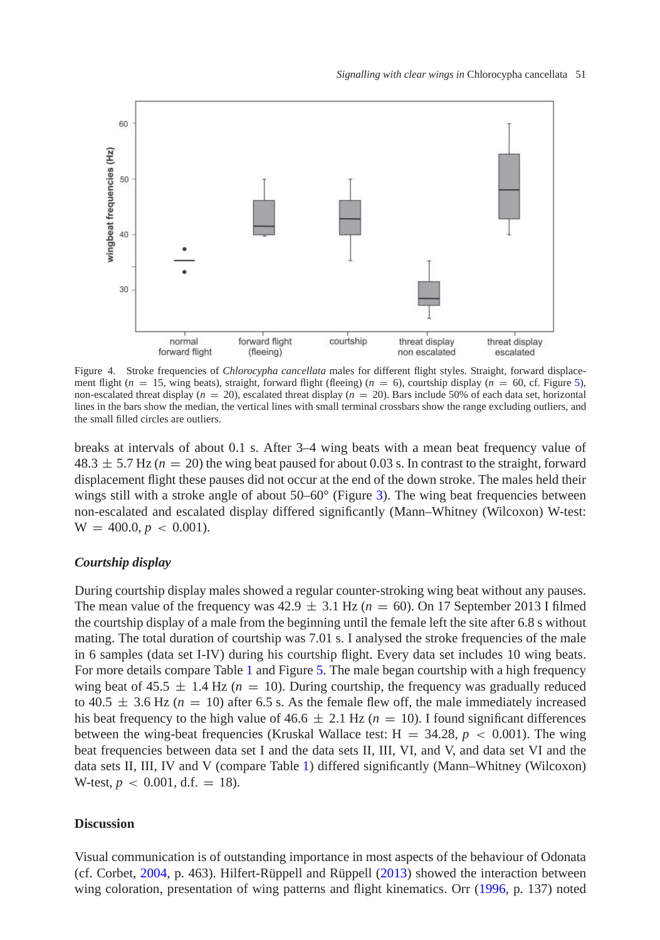

<span id="page-6-0"></span>Figure 4. Stroke frequencies of *Chlorocypha cancellata* males for different flight styles. Straight, forward displacement flight  $(n = 15$ , wing beats), straight, forward flight (fleeing)  $(n = 6)$ , courtship display  $(n = 60, \text{cf. Figure 5})$ , non-escalated threat display ( $n = 20$ ), escalated threat display ( $n = 20$ ). Bars include 50% of each data set, horizontal lines in the bars show the median, the vertical lines with small terminal crossbars show the range excluding outliers, and the small filled circles are outliers.

breaks at intervals of about 0.1 s. After 3–4 wing beats with a mean beat frequency value of  $48.3 \pm 5.7$  Hz ( $n = 20$ ) the wing beat paused for about 0.03 s. In contrast to the straight, forward displacement flight these pauses did not occur at the end of the down stroke. The males held their wings still with a stroke angle of about  $50-60^\circ$  (Figure [3\)](#page-4-0). The wing beat frequencies between non-escalated and escalated display differed significantly (Mann–Whitney (Wilcoxon) W-test:  $W = 400.0, p < 0.001$ .

## *Courtship display*

During courtship display males showed a regular counter-stroking wing beat without any pauses. The mean value of the frequency was  $42.9 \pm 3.1$  Hz ( $n = 60$ ). On 17 September 2013 I filmed the courtship display of a male from the beginning until the female left the site after 6.8 s without mating. The total duration of courtship was 7.01 s. I analysed the stroke frequencies of the male in 6 samples (data set I-IV) during his courtship flight. Every data set includes 10 wing beats. For more details compare Table [1](#page-7-1) and Figure [5.](#page-7-0) The male began courtship with a high frequency wing beat of 45.5  $\pm$  1.4 Hz ( $n = 10$ ). During courtship, the frequency was gradually reduced to  $40.5 \pm 3.6$  Hz ( $n = 10$ ) after 6.5 s. As the female flew off, the male immediately increased his beat frequency to the high value of  $46.6 \pm 2.1$  Hz ( $n = 10$ ). I found significant differences between the wing-beat frequencies (Kruskal Wallace test:  $H = 34.28$ ,  $p < 0.001$ ). The wing beat frequencies between data set I and the data sets II, III, VI, and V, and data set VI and the data sets II, III, IV and V (compare Table [1\)](#page-7-1) differed significantly (Mann–Whitney (Wilcoxon) W-test,  $p < 0.001$ , d.f. = 18).

## **Discussion**

Visual communication is of outstanding importance in most aspects of the behaviour of Odonata (cf. Corbet, [2004,](#page-9-12) p. 463). Hilfert-Rüppell and Rüppell [\(2013\)](#page-9-7) showed the interaction between wing coloration, presentation of wing patterns and flight kinematics. Orr [\(1996,](#page-9-2) p. 137) noted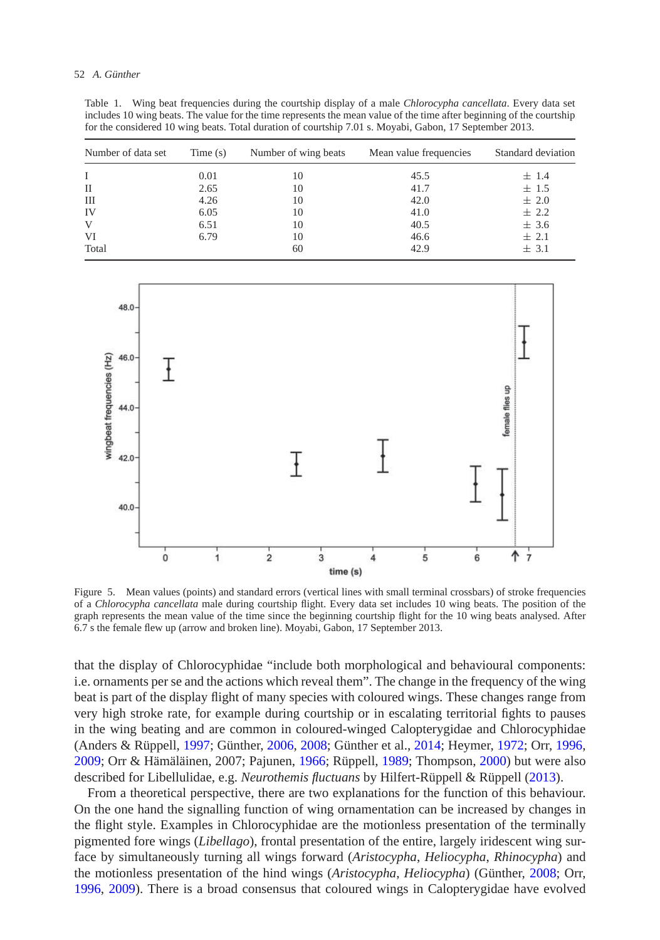| includes 10 wing beats. The value for the time represents the mean value of the time after beginning of the courtship<br>for the considered 10 wing beats. Total duration of courtship 7.01 s. Moyabi, Gabon, 17 September 2013. |            |                      |                        |                    |
|----------------------------------------------------------------------------------------------------------------------------------------------------------------------------------------------------------------------------------|------------|----------------------|------------------------|--------------------|
| Number of data set                                                                                                                                                                                                               | Time $(s)$ | Number of wing beats | Mean value frequencies | Standard deviation |
| Т.                                                                                                                                                                                                                               | 0.01       | 10                   | 45.5                   | $+1.4$             |
| $\mathbf{H}$                                                                                                                                                                                                                     | 2.65       | 10                   | 41.7                   | $+1.5$             |
| Ш                                                                                                                                                                                                                                | 4.26       | 10                   | 42.0                   | $+2.0$             |
| - IV                                                                                                                                                                                                                             | 6.05       | 10                   | 41.0                   | $+2.2$             |
|                                                                                                                                                                                                                                  |            |                      |                        |                    |

V 6.51  $10$  40.5  $\pm 3.6$ VI 6.79  $10 \t 46.6 \t \pm 2.1$ Total  $60 \t\t \pm 3.1$ 

<span id="page-7-1"></span>Table 1. Wing beat frequencies during the courtship display of a male *Chlorocypha cancellata*. Every data set includes 10 wing beats. The value for the time represents the mean value of the time after beginning of the courtship



<span id="page-7-0"></span>Figure 5. Mean values (points) and standard errors (vertical lines with small terminal crossbars) of stroke frequencies of a *Chlorocypha cancellata* male during courtship flight. Every data set includes 10 wing beats. The position of the graph represents the mean value of the time since the beginning courtship flight for the 10 wing beats analysed. After 6.7 s the female flew up (arrow and broken line). Moyabi, Gabon, 17 September 2013.

that the display of Chlorocyphidae "include both morphological and behavioural components: i.e. ornaments per se and the actions which reveal them". The change in the frequency of the wing beat is part of the display flight of many species with coloured wings. These changes range from very high stroke rate, for example during courtship or in escalating territorial fights to pauses in the wing beating and are common in coloured-winged Calopterygidae and Chlorocyphidae (Anders & Rüppell, [1997;](#page-8-0) Günther, [2006,](#page-9-13) [2008;](#page-9-1) Günther et al., [2014;](#page-9-11) Heymer, [1972;](#page-9-14) Orr, [1996,](#page-9-2) [2009;](#page-9-15) Orr & Hämäläinen, 2007; Pajunen, [1966;](#page-9-16) Rüppell, [1989;](#page-9-17) Thompson, [2000\)](#page-9-18) but were also described for Libellulidae, e.g. *Neurothemis fluctuans* by Hilfert-Rüppell & Rüppell [\(2013\)](#page-9-7).

From a theoretical perspective, there are two explanations for the function of this behaviour. On the one hand the signalling function of wing ornamentation can be increased by changes in the flight style. Examples in Chlorocyphidae are the motionless presentation of the terminally pigmented fore wings (*Libellago*), frontal presentation of the entire, largely iridescent wing surface by simultaneously turning all wings forward (*Aristocypha*, *Heliocypha*, *Rhinocypha*) and the motionless presentation of the hind wings (*Aristocypha*, *Heliocypha*) (Günther, [2008;](#page-9-1) Orr, [1996,](#page-9-2) [2009\)](#page-9-15). There is a broad consensus that coloured wings in Calopterygidae have evolved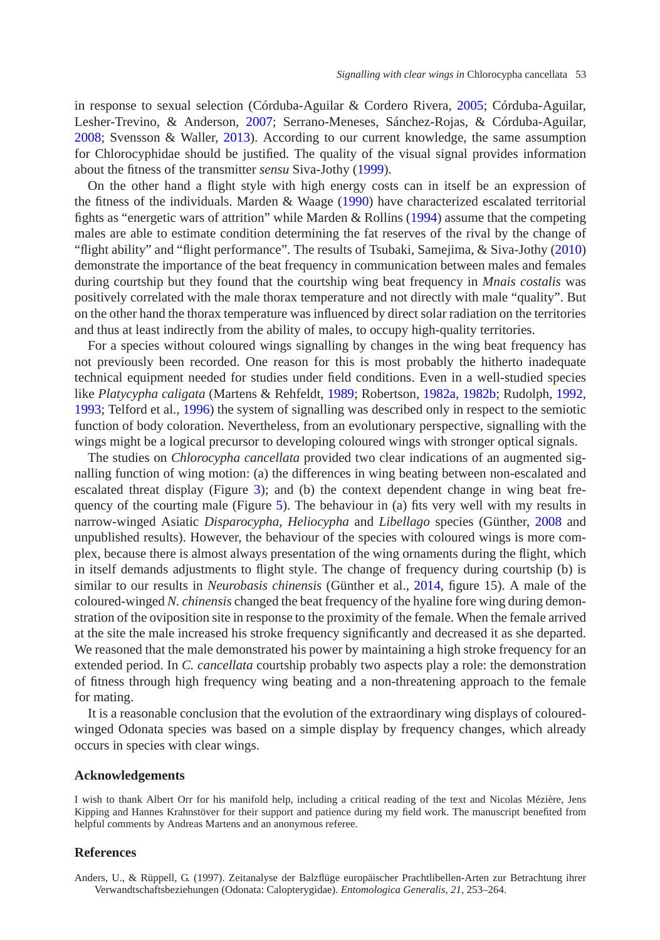in response to sexual selection (Córduba-Aguilar & Cordero Rivera, [2005;](#page-9-19) Córduba-Aguilar, Lesher-Trevino, & Anderson, [2007;](#page-9-20) Serrano-Meneses, Sánchez-Rojas, & Córduba-Aguilar, [2008;](#page-9-21) Svensson & Waller, [2013\)](#page-9-22). According to our current knowledge, the same assumption for Chlorocyphidae should be justified. The quality of the visual signal provides information about the fitness of the transmitter *sensu* Siva-Jothy [\(1999\)](#page-9-23).

On the other hand a flight style with high energy costs can in itself be an expression of the fitness of the individuals. Marden  $\&$  Waage [\(1990\)](#page-9-24) have characterized escalated territorial fights as "energetic wars of attrition" while Marden & Rollins [\(1994\)](#page-9-25) assume that the competing males are able to estimate condition determining the fat reserves of the rival by the change of "flight ability" and "flight performance". The results of Tsubaki, Samejima, & Siva-Jothy [\(2010\)](#page-9-26) demonstrate the importance of the beat frequency in communication between males and females during courtship but they found that the courtship wing beat frequency in *Mnais costalis* was positively correlated with the male thorax temperature and not directly with male "quality". But on the other hand the thorax temperature was influenced by direct solar radiation on the territories and thus at least indirectly from the ability of males, to occupy high-quality territories.

For a species without coloured wings signalling by changes in the wing beat frequency has not previously been recorded. One reason for this is most probably the hitherto inadequate technical equipment needed for studies under field conditions. Even in a well-studied species like *Platycypha caligata* (Martens & Rehfeldt, [1989;](#page-9-27) Robertson, [1982a,](#page-9-3) [1982b;](#page-9-4) Rudolph, [1992,](#page-9-8) [1993;](#page-9-5) Telford et al., [1996\)](#page-9-6) the system of signalling was described only in respect to the semiotic function of body coloration. Nevertheless, from an evolutionary perspective, signalling with the wings might be a logical precursor to developing coloured wings with stronger optical signals.

The studies on *Chlorocypha cancellata* provided two clear indications of an augmented signalling function of wing motion: (a) the differences in wing beating between non-escalated and escalated threat display (Figure [3\)](#page-4-0); and (b) the context dependent change in wing beat frequency of the courting male (Figure [5\)](#page-7-0). The behaviour in (a) fits very well with my results in narrow-winged Asiatic *Disparocypha*, *Heliocypha* and *Libellago* species (Günther, [2008](#page-9-1) and unpublished results). However, the behaviour of the species with coloured wings is more complex, because there is almost always presentation of the wing ornaments during the flight, which in itself demands adjustments to flight style. The change of frequency during courtship (b) is similar to our results in *Neurobasis chinensis* (Günther et al., [2014,](#page-9-11) figure 15). A male of the coloured-winged *N. chinensis* changed the beat frequency of the hyaline fore wing during demonstration of the oviposition site in response to the proximity of the female. When the female arrived at the site the male increased his stroke frequency significantly and decreased it as she departed. We reasoned that the male demonstrated his power by maintaining a high stroke frequency for an extended period. In *C. cancellata* courtship probably two aspects play a role: the demonstration of fitness through high frequency wing beating and a non-threatening approach to the female for mating.

It is a reasonable conclusion that the evolution of the extraordinary wing displays of colouredwinged Odonata species was based on a simple display by frequency changes, which already occurs in species with clear wings.

#### **Acknowledgements**

I wish to thank Albert Orr for his manifold help, including a critical reading of the text and Nicolas Mézière, Jens Kipping and Hannes Krahnstöver for their support and patience during my field work. The manuscript benefited from helpful comments by Andreas Martens and an anonymous referee.

### **References**

<span id="page-8-0"></span>Anders, U., & Rüppell, G. (1997). Zeitanalyse der Balzflüge europäischer Prachtlibellen-Arten zur Betrachtung ihrer Verwandtschaftsbeziehungen (Odonata: Calopterygidae). *Entomologica Generalis*, *21*, 253–264.